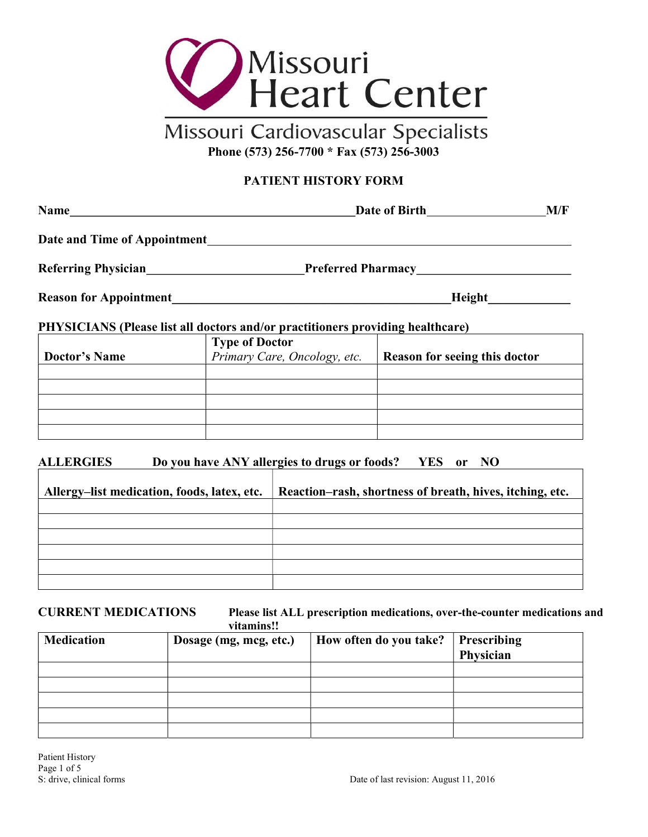

# Missouri Cardiovascular Specialists Phone (573) 256-7700 \* Fax (573) 256-3003

## PATIENT HISTORY FORM

| <b>Name</b><br><u> 1989 - Andrea Brand, amerikansk politik (</u> |                                                                                | Date of Birth<br>M/F          |  |
|------------------------------------------------------------------|--------------------------------------------------------------------------------|-------------------------------|--|
| Date and Time of Appointment                                     |                                                                                |                               |  |
| Referring Physician                                              |                                                                                |                               |  |
|                                                                  |                                                                                | <b>Height</b>                 |  |
|                                                                  | PHYSICIANS (Please list all doctors and/or practitioners providing healthcare) |                               |  |
|                                                                  | <b>Type of Doctor</b>                                                          |                               |  |
| <b>Doctor's Name</b>                                             | Primary Care, Oncology, etc.                                                   | Reason for seeing this doctor |  |
|                                                                  |                                                                                |                               |  |
|                                                                  |                                                                                |                               |  |
|                                                                  |                                                                                |                               |  |
|                                                                  |                                                                                |                               |  |

## ALLERGIES Do you have ANY allergies to drugs or foods? YES or NO

| Allergy-list medication, foods, latex, etc. | Reaction-rash, shortness of breath, hives, itching, etc. |
|---------------------------------------------|----------------------------------------------------------|
|                                             |                                                          |
|                                             |                                                          |
|                                             |                                                          |
|                                             |                                                          |
|                                             |                                                          |
|                                             |                                                          |

### CURRENT MEDICATIONS Please list ALL prescription medications, over-the-counter medications and vitamins!!

| <b>Medication</b> | Dosage (mg, mcg, etc.) | How often do you take? | <b>Prescribing</b><br>Physician |
|-------------------|------------------------|------------------------|---------------------------------|
|                   |                        |                        |                                 |
|                   |                        |                        |                                 |
|                   |                        |                        |                                 |
|                   |                        |                        |                                 |
|                   |                        |                        |                                 |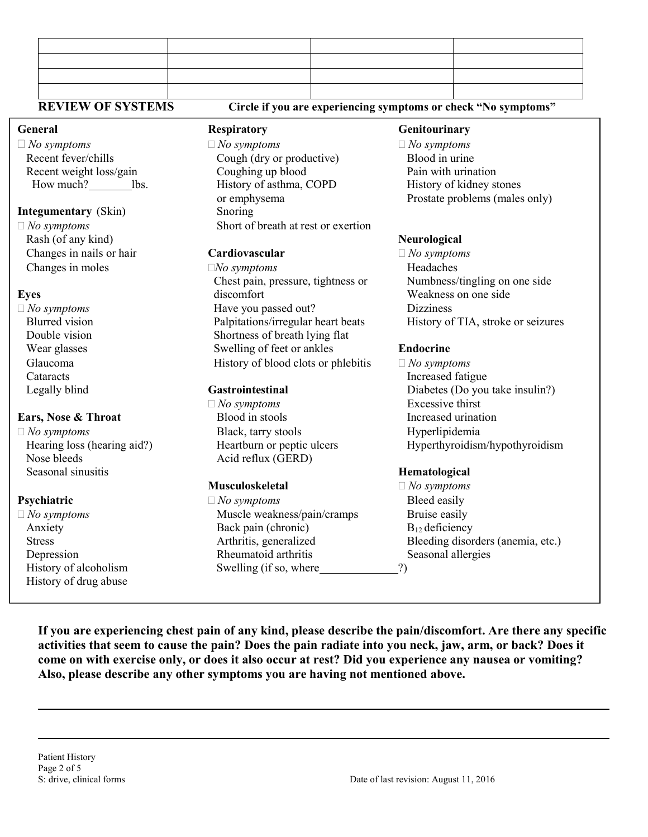| <b>REVIEW OF SYSTEMS</b>    |                                     | Circle if you are experiencing symptoms or check "No symptoms" |
|-----------------------------|-------------------------------------|----------------------------------------------------------------|
| General                     | <b>Respiratory</b>                  | Genitourinary                                                  |
| $\Box$ No symptoms          | $\Box$ No symptoms                  | $\Box$ No symptoms                                             |
| Recent fever/chills         | Cough (dry or productive)           | Blood in urine                                                 |
| Recent weight loss/gain     | Coughing up blood                   | Pain with urination                                            |
| How much? lbs.              | History of asthma, COPD             | History of kidney stones                                       |
|                             | or emphysema                        | Prostate problems (males only)                                 |
| <b>Integumentary</b> (Skin) | Snoring                             |                                                                |
| $\Box$ No symptoms          | Short of breath at rest or exertion |                                                                |
| Rash (of any kind)          |                                     | Neurological                                                   |
| Changes in nails or hair    | Cardiovascular                      | $\Box$ No symptoms                                             |
| Changes in moles            | $\square No$ symptoms               | Headaches                                                      |
|                             | Chest pain, pressure, tightness or  | Numbness/tingling on one side                                  |
| <b>Eyes</b>                 | discomfort                          | Weakness on one side                                           |
| $\Box$ No symptoms          | Have you passed out?                | <b>Dizziness</b>                                               |
| <b>Blurred</b> vision       | Palpitations/irregular heart beats  | History of TIA, stroke or seizures                             |
| Double vision               | Shortness of breath lying flat      |                                                                |
| Wear glasses                | Swelling of feet or ankles          | <b>Endocrine</b>                                               |
| Glaucoma                    | History of blood clots or phlebitis | $\Box$ No symptoms                                             |
| Cataracts                   |                                     | Increased fatigue                                              |
| Legally blind               | Gastrointestinal                    | Diabetes (Do you take insulin?)                                |
|                             | $\Box$ No symptoms                  | Excessive thirst                                               |
| Ears, Nose & Throat         | Blood in stools                     | Increased urination                                            |
| $\Box$ No symptoms          | Black, tarry stools                 | Hyperlipidemia                                                 |
| Hearing loss (hearing aid?) | Heartburn or peptic ulcers          | Hyperthyroidism/hypothyroidism                                 |
| Nose bleeds                 | Acid reflux (GERD)                  |                                                                |
| Seasonal sinusitis          |                                     | Hematological                                                  |

l

 $\overline{a}$ 

History of drug abuse

**Psychiatric**  $\Box$  *No symptoms* Bleed easily  $\Box$  No symptoms Muscle weakness/pain/cramps Bruise easily Anxiety Back pain (chronic) B<sub>12</sub> deficiency Depression Rheumatoid arthritis Seasonal allergies History of alcoholism Swelling (if so, where 2)

**Musculoskeletal**  $\Box$  *No symptoms* Stress Arthritis, generalized Bleeding disorders (anemia, etc.)

If you are experiencing chest pain of any kind, please describe the pain/discomfort. Are there any specific activities that seem to cause the pain? Does the pain radiate into you neck, jaw, arm, or back? Does it come on with exercise only, or does it also occur at rest? Did you experience any nausea or vomiting? Also, please describe any other symptoms you are having not mentioned above.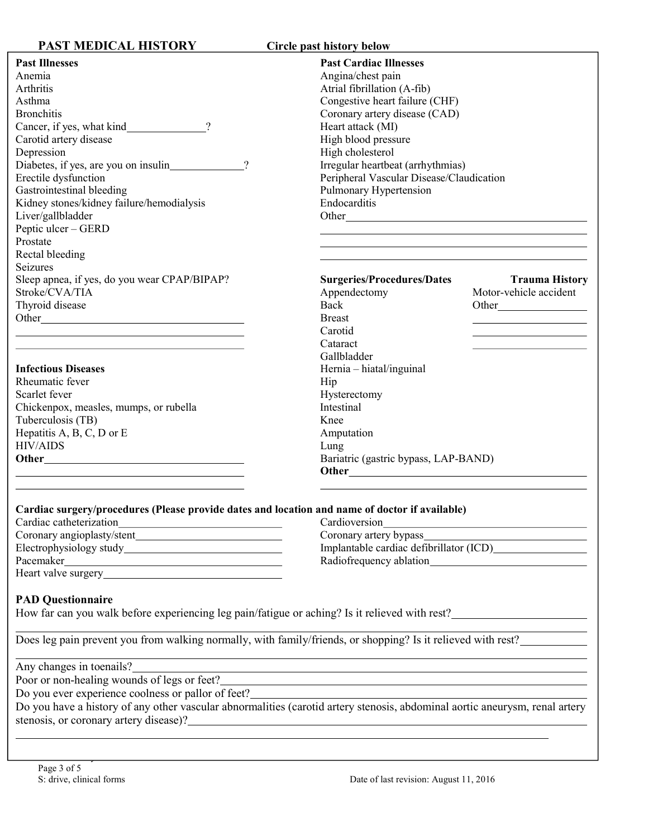| <b>PAST MEDICAL HISTORY</b>                                                                                                                                 | Circle past history below                                                                                                                                                                                                             |
|-------------------------------------------------------------------------------------------------------------------------------------------------------------|---------------------------------------------------------------------------------------------------------------------------------------------------------------------------------------------------------------------------------------|
| <b>Past Illnesses</b><br>Anemia<br>Arthritis<br>Asthma<br><b>Bronchitis</b>                                                                                 | <b>Past Cardiac Illnesses</b><br>Angina/chest pain<br>Atrial fibrillation (A-fib)<br>Congestive heart failure (CHF)<br>Coronary artery disease (CAD)                                                                                  |
| Cancer, if yes, what kind_____________?<br>Carotid artery disease<br>Depression<br>Diabetes, if yes, are you on insulin<br>$\gamma$<br>Erectile dysfunction | Heart attack (MI)<br>High blood pressure<br>High cholesterol<br>Irregular heartbeat (arrhythmias)<br>Peripheral Vascular Disease/Claudication                                                                                         |
| Gastrointestinal bleeding<br>Kidney stones/kidney failure/hemodialysis<br>Liver/gallbladder<br>Peptic ulcer - GERD<br>Prostate<br>Rectal bleeding           | Pulmonary Hypertension<br>Endocarditis<br><u> 1989 - Johann Stoff, amerikansk politiker (d. 1989)</u>                                                                                                                                 |
| Seizures<br>Sleep apnea, if yes, do you wear CPAP/BIPAP?<br>Stroke/CVA/TIA<br>Thyroid disease                                                               | <b>Surgeries/Procedures/Dates</b><br><b>Trauma History</b><br>Motor-vehicle accident<br>Appendectomy<br>Back<br><b>Breast</b><br>Carotid<br>Cataract                                                                                  |
| <b>Infectious Diseases</b><br>Rheumatic fever<br>Scarlet fever<br>Chickenpox, measles, mumps, or rubella<br>Tuberculosis (TB)<br>Hepatitis A, B, C, D or E  | Gallbladder<br>Hernia - hiatal/inguinal<br>Hip<br>Hysterectomy<br>Intestinal<br>Knee<br>Amputation                                                                                                                                    |
| <b>HIV/AIDS</b>                                                                                                                                             | Lung<br>Bariatric (gastric bypass, LAP-BAND)                                                                                                                                                                                          |
| Cardiac surgery/procedures (Please provide dates and location and name of doctor if available)                                                              | Cardioversion<br><u> 1989 - Johann Barn, mars ann an t-Amhain Aonaich an t-Aonaich an t-Aonaich ann an t-Aonaich ann an t-Aonaich</u>                                                                                                 |
|                                                                                                                                                             | Coronary artery bypass_<br>Radiofrequency ablation<br>Nation                                                                                                                                                                          |
| <b>PAD Questionnaire</b>                                                                                                                                    | How far can you walk before experiencing leg pain/fatigue or aching? Is it relieved with rest?                                                                                                                                        |
|                                                                                                                                                             | Does leg pain prevent you from walking normally, with family/friends, or shopping? Is it relieved with rest?<br><u> 1989 - Johann Stoff, deutscher Stoffen und der Stoffen und der Stoffen und der Stoffen und der Stoffen und de</u> |
| Any changes in toenails?<br>Do you ever experience coolness or pallor of feet?______________________________                                                | Do you ever experience coolness or pallor of feet?<br>Do you have a history of any other vascular abnormalities (carotid artery stenosis, abdominal aortic aneurysm, renal artery                                                     |
|                                                                                                                                                             | stenosis, or coronary artery disease)?<br><u> and</u> the coronary artery disease)?                                                                                                                                                   |

l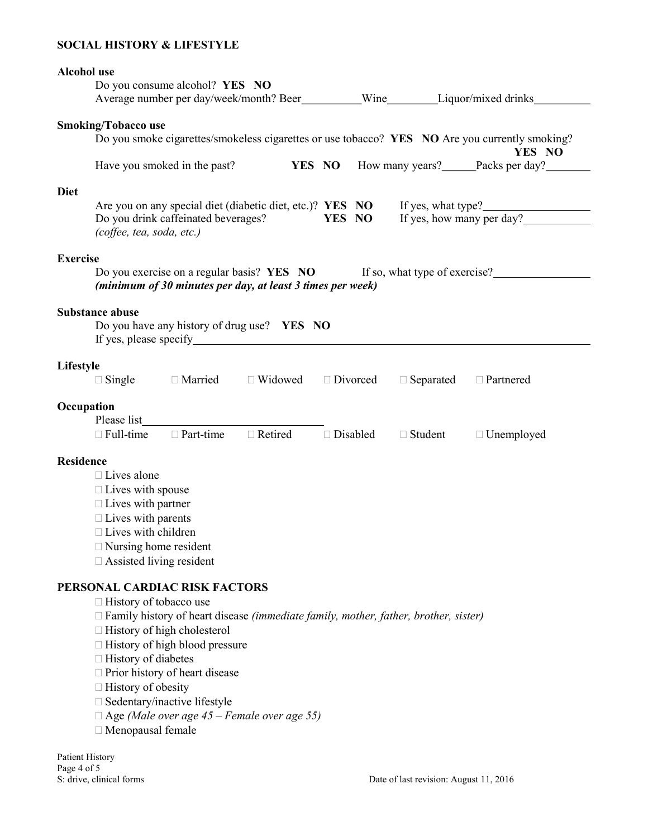### SOCIAL HISTORY & LIFESTYLE

## Alcohol use Do you consume alcohol? YES NO Average number per day/week/month? Beer Wine Liquor/mixed drinks Smoking/Tobacco use Do you smoke cigarettes/smokeless cigarettes or use tobacco? YES NO Are you currently smoking? YES NO Have you smoked in the past? **YES NO** How many years? Packs per day? Diet Are you on any special diet (diabetic diet, etc.)? **YES NO** If yes, what type?<br>Do you drink caffeinated beverages? **YES NO** If yes, how many per day? Do you drink caffeinated beverages? YES NO (coffee, tea, soda, etc.) Exercise Do you exercise on a regular basis? **YES NO** If so, what type of exercise? (minimum of 30 minutes per day, at least 3 times per week) Substance abuse Do you have any history of drug use? YES NO If yes, please specify Lifestyle  $\Box$  Single  $\Box$  Married  $\Box$  Widowed  $\Box$  Divorced  $\Box$  Separated  $\Box$  Partnered **Occupation**  Please list  $\Box$  Full-time  $\Box$  Part-time  $\Box$  Retired  $\Box$  Disabled  $\Box$  Student  $\Box$  Unemployed Residence □ Lives alone  $\Box$  Lives with spouse  $\Box$  Lives with partner  $\Box$  Lives with parents  $\Box$  Lives with children Nursing home resident Assisted living resident PERSONAL CARDIAC RISK FACTORS □ History of tobacco use  $\Box$  Family history of heart disease (immediate family, mother, father, brother, sister)  $\Box$  History of high cholesterol  $\Box$  History of high blood pressure  $\Box$  History of diabetes □ Prior history of heart disease  $\Box$  History of obesity  $\square$  Sedentary/inactive lifestyle

 $\Box$  Age (Male over age 45 – Female over age 55)

Menopausal female

Patient History Page 4 of 5